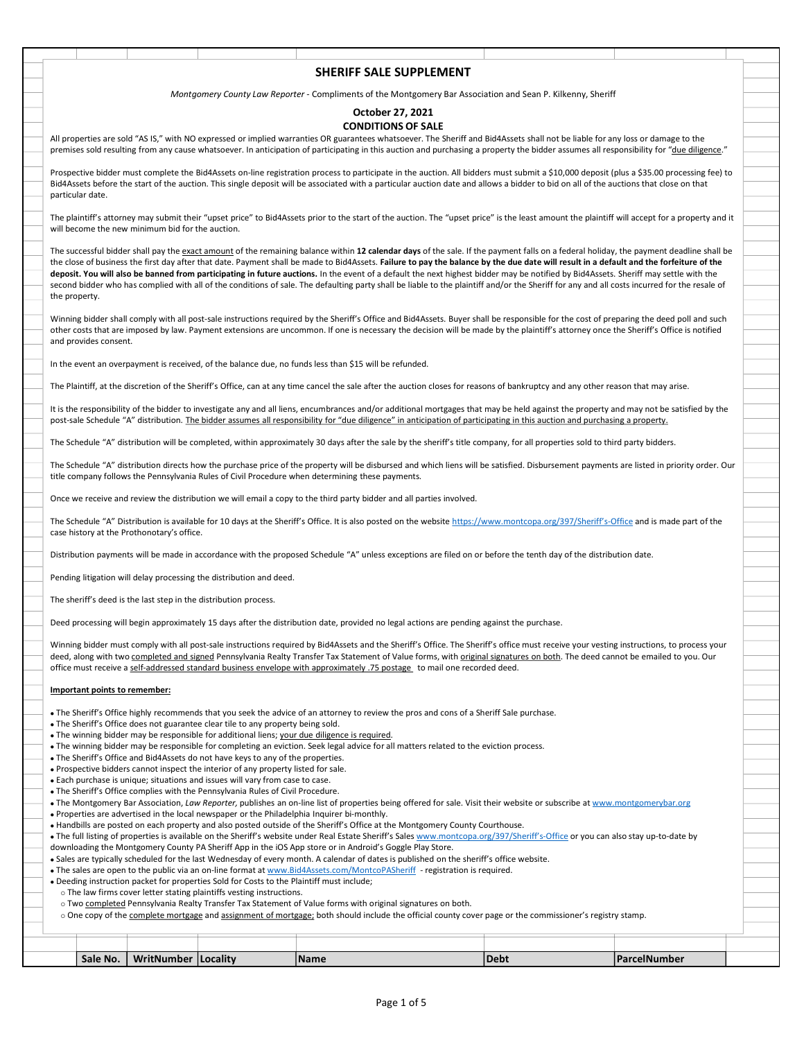| SHERIFF SALE SUPPLEMENT                                                                                                                                                                                                                                                                                                                                                                                                                                                                               |  |
|-------------------------------------------------------------------------------------------------------------------------------------------------------------------------------------------------------------------------------------------------------------------------------------------------------------------------------------------------------------------------------------------------------------------------------------------------------------------------------------------------------|--|
| Montgomery County Law Reporter - Compliments of the Montgomery Bar Association and Sean P. Kilkenny, Sheriff                                                                                                                                                                                                                                                                                                                                                                                          |  |
| October 27, 2021                                                                                                                                                                                                                                                                                                                                                                                                                                                                                      |  |
| <b>CONDITIONS OF SALE</b><br>All properties are sold "AS IS," with NO expressed or implied warranties OR guarantees whatsoever. The Sheriff and Bid4Assets shall not be liable for any loss or damage to the                                                                                                                                                                                                                                                                                          |  |
| premises sold resulting from any cause whatsoever. In anticipation of participating in this auction and purchasing a property the bidder assumes all responsibility for "due diligence."                                                                                                                                                                                                                                                                                                              |  |
| Prospective bidder must complete the Bid4Assets on-line registration process to participate in the auction. All bidders must submit a \$10,000 deposit (plus a \$35.00 processing fee) to<br>Bid4Assets before the start of the auction. This single deposit will be associated with a particular auction date and allows a bidder to bid on all of the auctions that close on that<br>particular date.                                                                                               |  |
| The plaintiff's attorney may submit their "upset price" to Bid4Assets prior to the start of the auction. The "upset price" is the least amount the plaintiff will accept for a property and it<br>will become the new minimum bid for the auction.                                                                                                                                                                                                                                                    |  |
| The successful bidder shall pay the exact amount of the remaining balance within 12 calendar days of the sale. If the payment falls on a federal holiday, the payment deadline shall be<br>the close of business the first day after that date. Payment shall be made to Bid4Assets. Failure to pay the balance by the due date will result in a default and the forfeiture of the                                                                                                                    |  |
| deposit. You will also be banned from participating in future auctions. In the event of a default the next highest bidder may be notified by Bid4Assets. Sheriff may settle with the<br>second bidder who has complied with all of the conditions of sale. The defaulting party shall be liable to the plaintiff and/or the Sheriff for any and all costs incurred for the resale of                                                                                                                  |  |
| the property.                                                                                                                                                                                                                                                                                                                                                                                                                                                                                         |  |
| Winning bidder shall comply with all post-sale instructions required by the Sheriff's Office and Bid4Assets. Buyer shall be responsible for the cost of preparing the deed poll and such<br>other costs that are imposed by law. Payment extensions are uncommon. If one is necessary the decision will be made by the plaintiff's attorney once the Sheriff's Office is notified<br>and provides consent.                                                                                            |  |
| In the event an overpayment is received, of the balance due, no funds less than \$15 will be refunded.                                                                                                                                                                                                                                                                                                                                                                                                |  |
| The Plaintiff, at the discretion of the Sheriff's Office, can at any time cancel the sale after the auction closes for reasons of bankruptcy and any other reason that may arise.                                                                                                                                                                                                                                                                                                                     |  |
| It is the responsibility of the bidder to investigate any and all liens, encumbrances and/or additional mortgages that may be held against the property and may not be satisfied by the<br>post-sale Schedule "A" distribution. The bidder assumes all responsibility for "due diligence" in anticipation of participating in this auction and purchasing a property.                                                                                                                                 |  |
| The Schedule "A" distribution will be completed, within approximately 30 days after the sale by the sheriff's title company, for all properties sold to third party bidders.                                                                                                                                                                                                                                                                                                                          |  |
| The Schedule "A" distribution directs how the purchase price of the property will be disbursed and which liens will be satisfied. Disbursement payments are listed in priority order. Our<br>title company follows the Pennsylvania Rules of Civil Procedure when determining these payments.                                                                                                                                                                                                         |  |
| Once we receive and review the distribution we will email a copy to the third party bidder and all parties involved.                                                                                                                                                                                                                                                                                                                                                                                  |  |
| The Schedule "A" Distribution is available for 10 days at the Sheriff's Office. It is also posted on the website https://www.montcopa.org/397/Sheriff's-Office and is made part of the<br>case history at the Prothonotary's office.                                                                                                                                                                                                                                                                  |  |
| Distribution payments will be made in accordance with the proposed Schedule "A" unless exceptions are filed on or before the tenth day of the distribution date.                                                                                                                                                                                                                                                                                                                                      |  |
| Pending litigation will delay processing the distribution and deed.                                                                                                                                                                                                                                                                                                                                                                                                                                   |  |
| The sheriff's deed is the last step in the distribution process.                                                                                                                                                                                                                                                                                                                                                                                                                                      |  |
| Deed processing will begin approximately 15 days after the distribution date, provided no legal actions are pending against the purchase.                                                                                                                                                                                                                                                                                                                                                             |  |
| Winning bidder must comply with all post-sale instructions required by Bid4Assets and the Sherif's Office. The Sheriff's office must receive your vesting instructions, to process your<br>deed, along with two completed and signed Pennsylvania Realty Transfer Tax Statement of Value forms, with original signatures on both. The deed cannot be emailed to you. Our<br>office must receive a self-addressed standard business envelope with approximately .75 postage to mail one recorded deed. |  |
| Important points to remember:                                                                                                                                                                                                                                                                                                                                                                                                                                                                         |  |
| • The Sheriff's Office highly recommends that you seek the advice of an attorney to review the pros and cons of a Sheriff Sale purchase.                                                                                                                                                                                                                                                                                                                                                              |  |
| • The Sheriff's Office does not guarantee clear tile to any property being sold.<br>• The winning bidder may be responsible for additional liens; your due diligence is required.                                                                                                                                                                                                                                                                                                                     |  |
| • The winning bidder may be responsible for completing an eviction. Seek legal advice for all matters related to the eviction process.<br>• The Sheriff's Office and Bid4Assets do not have keys to any of the properties.                                                                                                                                                                                                                                                                            |  |
| . Prospective bidders cannot inspect the interior of any property listed for sale.<br>. Each purchase is unique; situations and issues will vary from case to case.                                                                                                                                                                                                                                                                                                                                   |  |
| • The Sheriff's Office complies with the Pennsylvania Rules of Civil Procedure.<br>. The Montgomery Bar Association, Law Reporter, publishes an on-line list of properties being offered for sale. Visit their website or subscribe at www.montgomerybar.org                                                                                                                                                                                                                                          |  |
| • Properties are advertised in the local newspaper or the Philadelphia Inquirer bi-monthly.<br>• Handbills are posted on each property and also posted outside of the Sheriff's Office at the Montgomery County Courthouse.                                                                                                                                                                                                                                                                           |  |
| • The full listing of properties is available on the Sheriff's website under Real Estate Sheriff's Sales www.montcopa.org/397/Sheriff's-Office or you can also stay up-to-date by<br>downloading the Montgomery County PA Sheriff App in the iOS App store or in Android's Goggle Play Store.                                                                                                                                                                                                         |  |
| . Sales are typically scheduled for the last Wednesday of every month. A calendar of dates is published on the sheriff's office website.<br>• The sales are open to the public via an on-line format at www.Bid4Assets.com/MontcoPASheriff - registration is required.                                                                                                                                                                                                                                |  |
| . Deeding instruction packet for properties Sold for Costs to the Plaintiff must include;<br>o The law firms cover letter stating plaintiffs vesting instructions.                                                                                                                                                                                                                                                                                                                                    |  |
| o Two completed Pennsylvania Realty Transfer Tax Statement of Value forms with original signatures on both.<br>○ One copy of the complete mortgage and assignment of mortgage; both should include the official county cover page or the commissioner's registry stamp.                                                                                                                                                                                                                               |  |
|                                                                                                                                                                                                                                                                                                                                                                                                                                                                                                       |  |
| Sale No.<br><b>WritNumber   Locality</b><br> Name<br> Debt<br>ParcelNumber                                                                                                                                                                                                                                                                                                                                                                                                                            |  |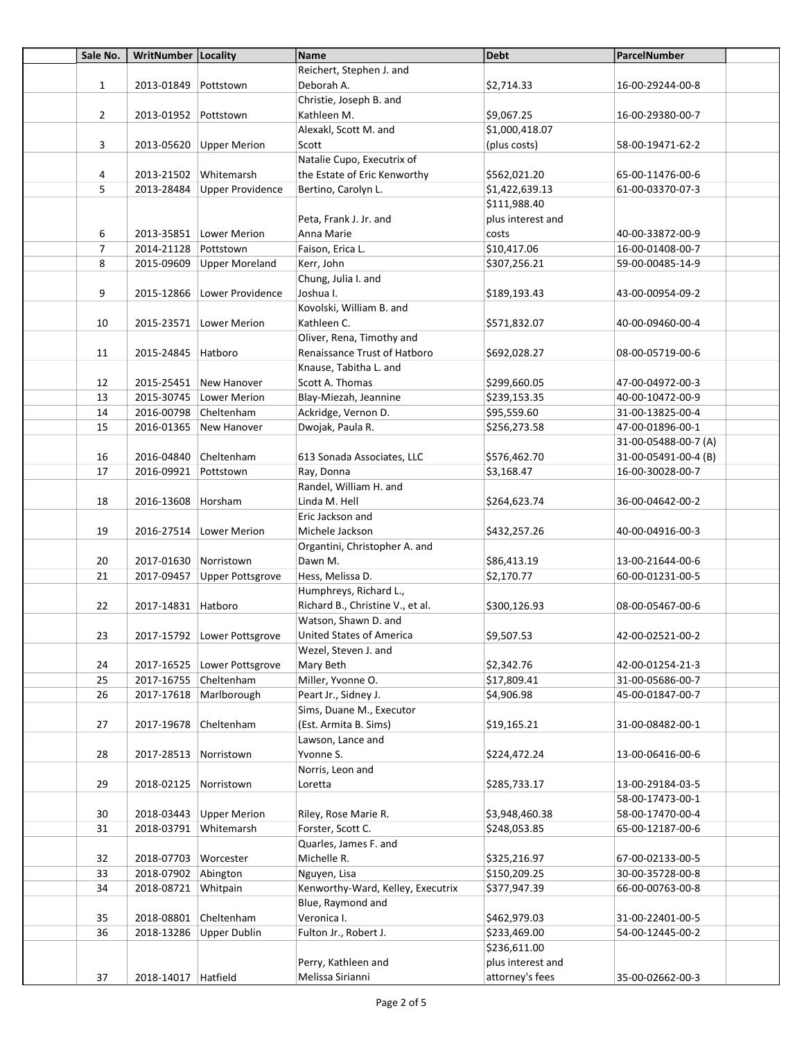| Sale No.       | WritNumber Locality   |                             | Name                                                       | <b>Debt</b>       | ParcelNumber                         |  |
|----------------|-----------------------|-----------------------------|------------------------------------------------------------|-------------------|--------------------------------------|--|
|                |                       |                             | Reichert, Stephen J. and                                   |                   |                                      |  |
| $\mathbf{1}$   | 2013-01849            | Pottstown                   | Deborah A.                                                 | \$2,714.33        | 16-00-29244-00-8                     |  |
|                |                       |                             | Christie, Joseph B. and                                    |                   |                                      |  |
| $\overline{2}$ | 2013-01952 Pottstown  |                             | Kathleen M.                                                | \$9,067.25        | 16-00-29380-00-7                     |  |
|                |                       |                             | Alexakl, Scott M. and                                      | \$1,000,418.07    |                                      |  |
| 3              |                       | 2013-05620 Upper Merion     | Scott                                                      | (plus costs)      | 58-00-19471-62-2                     |  |
|                |                       |                             | Natalie Cupo, Executrix of                                 |                   |                                      |  |
| 4              | 2013-21502            | Whitemarsh                  | the Estate of Eric Kenworthy                               | \$562,021.20      | 65-00-11476-00-6                     |  |
| 5              | 2013-28484            | Upper Providence            | Bertino, Carolyn L.                                        | \$1,422,639.13    | 61-00-03370-07-3                     |  |
|                |                       |                             |                                                            | \$111,988.40      |                                      |  |
|                |                       |                             | Peta, Frank J. Jr. and                                     | plus interest and |                                      |  |
| 6              |                       | 2013-35851 Lower Merion     | Anna Marie                                                 | costs             | 40-00-33872-00-9                     |  |
| $\overline{7}$ | 2014-21128 Pottstown  |                             | Faison, Erica L.                                           | \$10,417.06       | 16-00-01408-00-7                     |  |
| 8              | 2015-09609            | Upper Moreland              | Kerr, John                                                 | \$307,256.21      | 59-00-00485-14-9                     |  |
|                |                       |                             | Chung, Julia I. and                                        |                   |                                      |  |
| 9              |                       | 2015-12866 Lower Providence | Joshua I.                                                  | \$189,193.43      | 43-00-00954-09-2                     |  |
|                |                       |                             | Kovolski, William B. and                                   |                   |                                      |  |
| 10             |                       | 2015-23571 Lower Merion     | Kathleen C.                                                | \$571,832.07      | 40-00-09460-00-4                     |  |
|                |                       |                             | Oliver, Rena, Timothy and                                  |                   |                                      |  |
| 11             | 2015-24845   Hatboro  |                             | Renaissance Trust of Hatboro                               | \$692,028.27      | 08-00-05719-00-6                     |  |
|                |                       |                             | Knause, Tabitha L. and                                     |                   |                                      |  |
| 12             |                       | 2015-25451 New Hanover      | Scott A. Thomas                                            | \$299,660.05      | 47-00-04972-00-3                     |  |
| 13             |                       | 2015-30745 Lower Merion     | Blay-Miezah, Jeannine                                      | \$239,153.35      | 40-00-10472-00-9                     |  |
| 14             | 2016-00798 Cheltenham |                             | Ackridge, Vernon D.                                        | \$95,559.60       | 31-00-13825-00-4                     |  |
| 15             | 2016-01365            | New Hanover                 | Dwojak, Paula R.                                           | \$256,273.58      | 47-00-01896-00-1                     |  |
|                |                       |                             |                                                            |                   | 31-00-05488-00-7 (A)                 |  |
| 16             | 2016-04840            | Cheltenham                  | 613 Sonada Associates, LLC                                 | \$576,462.70      | 31-00-05491-00-4 (B)                 |  |
| 17             | 2016-09921            | Pottstown                   | Ray, Donna                                                 | \$3,168.47        | 16-00-30028-00-7                     |  |
|                |                       |                             | Randel, William H. and                                     |                   |                                      |  |
| 18             | 2016-13608            | Horsham                     | Linda M. Hell                                              | \$264,623.74      | 36-00-04642-00-2                     |  |
|                |                       |                             | Eric Jackson and                                           |                   |                                      |  |
| 19             |                       | 2016-27514   Lower Merion   | Michele Jackson                                            |                   | 40-00-04916-00-3                     |  |
|                |                       |                             |                                                            | \$432,257.26      |                                      |  |
|                |                       |                             | Organtini, Christopher A. and<br>Dawn M.                   |                   |                                      |  |
| 20             | 2017-01630 Norristown |                             |                                                            | \$86,413.19       | 13-00-21644-00-6<br>60-00-01231-00-5 |  |
| 21             | 2017-09457            | Upper Pottsgrove            | Hess, Melissa D.                                           | \$2,170.77        |                                      |  |
|                |                       |                             | Humphreys, Richard L.,<br>Richard B., Christine V., et al. |                   |                                      |  |
| 22             | 2017-14831 Hatboro    |                             |                                                            | \$300,126.93      | 08-00-05467-00-6                     |  |
|                |                       |                             | Watson, Shawn D. and                                       |                   |                                      |  |
| 23             |                       | 2017-15792 Lower Pottsgrove | United States of America                                   | \$9,507.53        | 42-00-02521-00-2                     |  |
|                |                       |                             | Wezel, Steven J. and                                       |                   |                                      |  |
| 24             |                       | 2017-16525 Lower Pottsgrove | Mary Beth                                                  | \$2,342.76        | 42-00-01254-21-3                     |  |
| 25             | 2017-16755            | Cheltenham                  | Miller, Yvonne O.                                          | \$17,809.41       | 31-00-05686-00-7                     |  |
| 26             |                       | 2017-17618 Marlborough      | Peart Jr., Sidney J.                                       | \$4,906.98        | 45-00-01847-00-7                     |  |
|                |                       |                             | Sims, Duane M., Executor                                   |                   |                                      |  |
| 27             | 2017-19678            | Cheltenham                  | (Est. Armita B. Sims)                                      | \$19,165.21       | 31-00-08482-00-1                     |  |
|                |                       |                             | Lawson, Lance and                                          |                   |                                      |  |
| 28             | 2017-28513            | Norristown                  | Yvonne S.                                                  | \$224,472.24      | 13-00-06416-00-6                     |  |
|                |                       |                             | Norris, Leon and                                           |                   |                                      |  |
| 29             | 2018-02125            | Norristown                  | Loretta                                                    | \$285,733.17      | 13-00-29184-03-5                     |  |
|                |                       |                             |                                                            |                   | 58-00-17473-00-1                     |  |
| 30             | 2018-03443            | <b>Upper Merion</b>         | Riley, Rose Marie R.                                       | \$3,948,460.38    | 58-00-17470-00-4                     |  |
| 31             | 2018-03791            | Whitemarsh                  | Forster, Scott C.                                          | \$248,053.85      | 65-00-12187-00-6                     |  |
|                |                       |                             | Quarles, James F. and                                      |                   |                                      |  |
| 32             | 2018-07703            | Worcester                   | Michelle R.                                                | \$325,216.97      | 67-00-02133-00-5                     |  |
| 33             | 2018-07902            | Abington                    | Nguyen, Lisa                                               | \$150,209.25      | 30-00-35728-00-8                     |  |
| 34             | 2018-08721            | Whitpain                    | Kenworthy-Ward, Kelley, Executrix                          | \$377,947.39      | 66-00-00763-00-8                     |  |
|                |                       |                             | Blue, Raymond and                                          |                   |                                      |  |
| 35             | 2018-08801            | Cheltenham                  | Veronica I.                                                | \$462,979.03      | 31-00-22401-00-5                     |  |
| 36             | 2018-13286            | <b>Upper Dublin</b>         | Fulton Jr., Robert J.                                      | \$233,469.00      | 54-00-12445-00-2                     |  |
|                |                       |                             |                                                            | \$236,611.00      |                                      |  |
|                |                       |                             | Perry, Kathleen and                                        | plus interest and |                                      |  |
| 37             | 2018-14017   Hatfield |                             | Melissa Sirianni                                           | attorney's fees   | 35-00-02662-00-3                     |  |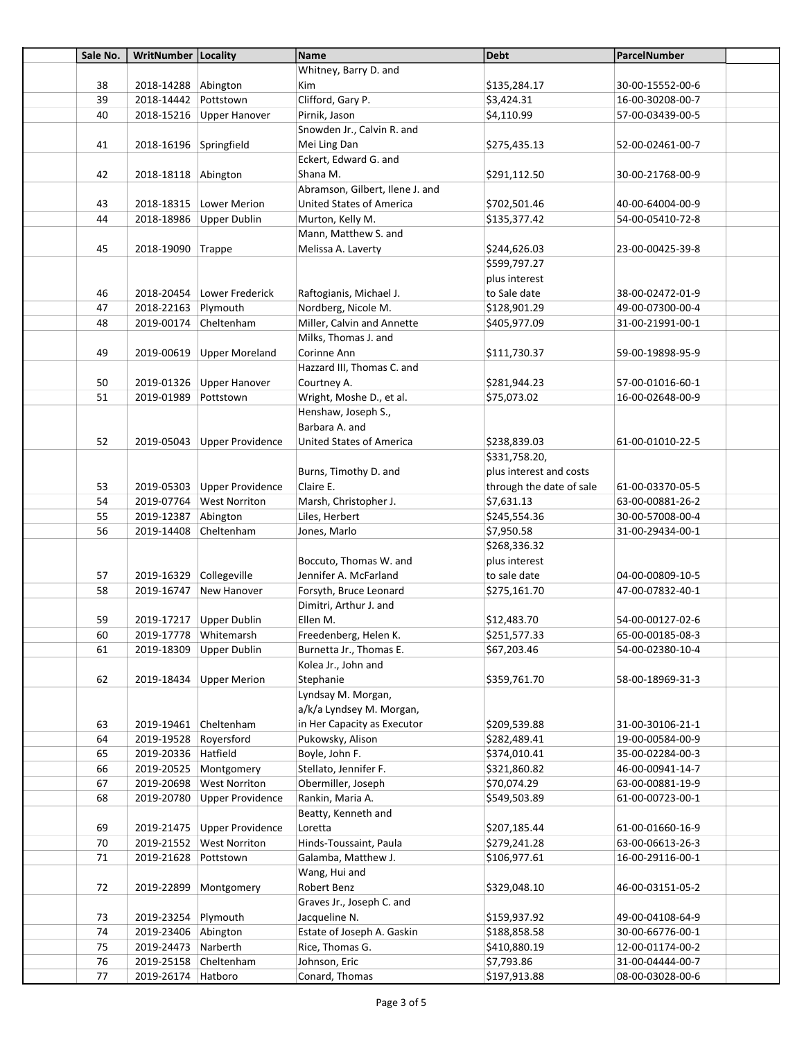| Sale No. | WritNumber Locality     |                             | Name                            | Debt                     | ParcelNumber     |  |
|----------|-------------------------|-----------------------------|---------------------------------|--------------------------|------------------|--|
|          |                         |                             | Whitney, Barry D. and           |                          |                  |  |
| 38       | 2018-14288 Abington     |                             | <b>Kim</b>                      | \$135,284.17             | 30-00-15552-00-6 |  |
| 39       | 2018-14442              | Pottstown                   | Clifford, Gary P.               | \$3,424.31               | 16-00-30208-00-7 |  |
| 40       |                         | 2018-15216 Upper Hanover    | Pirnik, Jason                   | \$4,110.99               | 57-00-03439-00-5 |  |
|          |                         |                             | Snowden Jr., Calvin R. and      |                          |                  |  |
| 41       | 2018-16196 Springfield  |                             | Mei Ling Dan                    | \$275,435.13             | 52-00-02461-00-7 |  |
|          |                         |                             | Eckert, Edward G. and           |                          |                  |  |
| 42       | 2018-18118 Abington     |                             | Shana M.                        | \$291,112.50             | 30-00-21768-00-9 |  |
|          |                         |                             | Abramson, Gilbert, Ilene J. and |                          |                  |  |
| 43       |                         | 2018-18315   Lower Merion   | <b>United States of America</b> | \$702,501.46             | 40-00-64004-00-9 |  |
| 44       | 2018-18986              | Upper Dublin                | Murton, Kelly M.                | \$135,377.42             | 54-00-05410-72-8 |  |
|          |                         |                             | Mann, Matthew S. and            |                          |                  |  |
| 45       | 2018-19090 Trappe       |                             | Melissa A. Laverty              | \$244,626.03             | 23-00-00425-39-8 |  |
|          |                         |                             |                                 | \$599,797.27             |                  |  |
|          |                         |                             |                                 | plus interest            |                  |  |
| 46       |                         | 2018-20454 Lower Frederick  | Raftogianis, Michael J.         | to Sale date             | 38-00-02472-01-9 |  |
| 47       | 2018-22163              | Plymouth                    | Nordberg, Nicole M.             | \$128,901.29             | 49-00-07300-00-4 |  |
| 48       | 2019-00174 Cheltenham   |                             | Miller, Calvin and Annette      | \$405,977.09             | 31-00-21991-00-1 |  |
|          |                         |                             | Milks, Thomas J. and            |                          |                  |  |
| 49       |                         | 2019-00619 Upper Moreland   | Corinne Ann                     | \$111,730.37             | 59-00-19898-95-9 |  |
|          |                         |                             | Hazzard III, Thomas C. and      |                          |                  |  |
| 50       | 2019-01326              | Upper Hanover               | Courtney A.                     | \$281,944.23             | 57-00-01016-60-1 |  |
| 51       | 2019-01989              | Pottstown                   | Wright, Moshe D., et al.        | \$75,073.02              | 16-00-02648-00-9 |  |
|          |                         |                             | Henshaw, Joseph S.,             |                          |                  |  |
|          |                         |                             | Barbara A. and                  |                          |                  |  |
| 52       |                         | 2019-05043 Upper Providence | <b>United States of America</b> | \$238,839.03             | 61-00-01010-22-5 |  |
|          |                         |                             |                                 | \$331,758.20,            |                  |  |
|          |                         |                             | Burns, Timothy D. and           | plus interest and costs  |                  |  |
| 53       |                         | 2019-05303 Upper Providence | Claire E.                       | through the date of sale | 61-00-03370-05-5 |  |
| 54       |                         | 2019-07764 West Norriton    | Marsh, Christopher J.           | \$7,631.13               | 63-00-00881-26-2 |  |
| 55       | 2019-12387              | Abington                    | Liles, Herbert                  | \$245,554.36             | 30-00-57008-00-4 |  |
| 56       | 2019-14408              | Cheltenham                  | Jones, Marlo                    | \$7,950.58               | 31-00-29434-00-1 |  |
|          |                         |                             |                                 | \$268,336.32             |                  |  |
|          |                         |                             | Boccuto, Thomas W. and          | plus interest            |                  |  |
| 57       | 2019-16329 Collegeville |                             | Jennifer A. McFarland           | to sale date             | 04-00-00809-10-5 |  |
| 58       | 2019-16747              | New Hanover                 | Forsyth, Bruce Leonard          | \$275,161.70             | 47-00-07832-40-1 |  |
|          |                         |                             | Dimitri, Arthur J. and          |                          |                  |  |
| 59       |                         | 2019-17217 Upper Dublin     | Ellen M.                        | \$12,483.70              | 54-00-00127-02-6 |  |
| 60       | 2019-17778 Whitemarsh   |                             | Freedenberg, Helen K.           | \$251,577.33             | 65-00-00185-08-3 |  |
| 61       |                         | 2019-18309 Upper Dublin     | Burnetta Jr., Thomas E.         | \$67,203.46              | 54-00-02380-10-4 |  |
|          |                         |                             | Kolea Jr., John and             |                          |                  |  |
| 62       |                         | 2019-18434 Upper Merion     | Stephanie                       | \$359,761.70             | 58-00-18969-31-3 |  |
|          |                         |                             | Lyndsay M. Morgan,              |                          |                  |  |
|          |                         |                             | a/k/a Lyndsey M. Morgan,        |                          |                  |  |
| 63       | 2019-19461 Cheltenham   |                             | in Her Capacity as Executor     | \$209,539.88             | 31-00-30106-21-1 |  |
| 64       | 2019-19528              | Royersford                  | Pukowsky, Alison                | \$282,489.41             | 19-00-00584-00-9 |  |
| 65       | 2019-20336 Hatfield     |                             | Boyle, John F.                  | \$374,010.41             | 35-00-02284-00-3 |  |
| 66       | 2019-20525              | Montgomery                  | Stellato, Jennifer F.           | \$321,860.82             | 46-00-00941-14-7 |  |
| 67       | 2019-20698              | <b>West Norriton</b>        | Obermiller, Joseph              | \$70,074.29              | 63-00-00881-19-9 |  |
| 68       | 2019-20780              | Upper Providence            | Rankin, Maria A.                | \$549,503.89             | 61-00-00723-00-1 |  |
|          |                         |                             | Beatty, Kenneth and             |                          |                  |  |
| 69       | 2019-21475              | Upper Providence            | Loretta                         | \$207,185.44             | 61-00-01660-16-9 |  |
| 70       |                         | 2019-21552 West Norriton    | Hinds-Toussaint, Paula          | \$279,241.28             | 63-00-06613-26-3 |  |
| 71       | 2019-21628              | Pottstown                   | Galamba, Matthew J.             | \$106,977.61             | 16-00-29116-00-1 |  |
|          |                         |                             | Wang, Hui and                   |                          |                  |  |
| 72       | 2019-22899              | Montgomery                  | Robert Benz                     | \$329,048.10             | 46-00-03151-05-2 |  |
|          |                         |                             | Graves Jr., Joseph C. and       |                          |                  |  |
| 73       | 2019-23254 Plymouth     |                             | Jacqueline N.                   | \$159,937.92             | 49-00-04108-64-9 |  |
| 74       | 2019-23406 Abington     |                             | Estate of Joseph A. Gaskin      | \$188,858.58             | 30-00-66776-00-1 |  |
| 75       | 2019-24473 Narberth     |                             | Rice, Thomas G.                 | \$410,880.19             | 12-00-01174-00-2 |  |
| 76       | 2019-25158 Cheltenham   |                             | Johnson, Eric                   | \$7,793.86               | 31-00-04444-00-7 |  |
| 77       | 2019-26174 Hatboro      |                             | Conard, Thomas                  | \$197,913.88             | 08-00-03028-00-6 |  |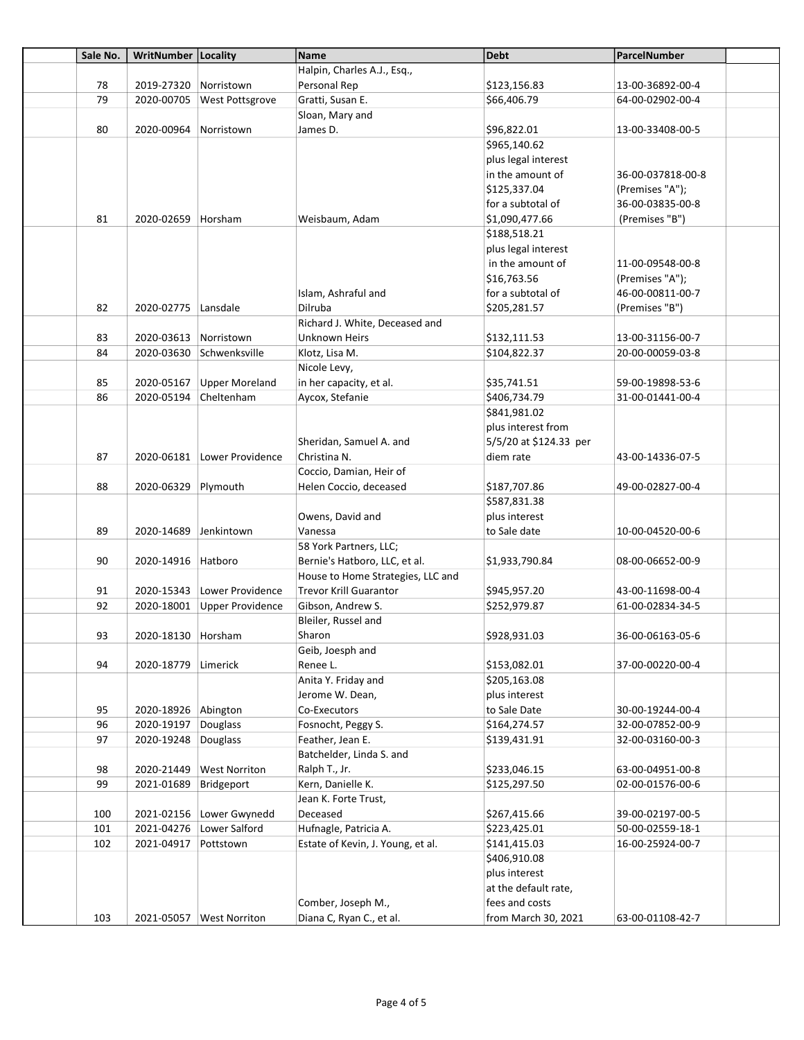| Sale No. | WritNumber   Locality             |                             | Name                                         | <b>Debt</b>                   | ParcelNumber                         |  |
|----------|-----------------------------------|-----------------------------|----------------------------------------------|-------------------------------|--------------------------------------|--|
|          |                                   |                             | Halpin, Charles A.J., Esq.,                  |                               |                                      |  |
| 78       | 2019-27320 Norristown             |                             | Personal Rep                                 | \$123,156.83                  | 13-00-36892-00-4                     |  |
| 79       |                                   | 2020-00705 West Pottsgrove  | Gratti, Susan E.                             | \$66,406.79                   | 64-00-02902-00-4                     |  |
|          |                                   |                             | Sloan, Mary and                              |                               |                                      |  |
| 80       | 2020-00964                        | Norristown                  | James D.                                     | \$96,822.01                   | 13-00-33408-00-5                     |  |
|          |                                   |                             |                                              | \$965,140.62                  |                                      |  |
|          |                                   |                             |                                              | plus legal interest           |                                      |  |
|          |                                   |                             |                                              | in the amount of              | 36-00-037818-00-8                    |  |
|          |                                   |                             |                                              | \$125,337.04                  | (Premises "A");                      |  |
|          |                                   |                             |                                              | for a subtotal of             | 36-00-03835-00-8                     |  |
| 81       | 2020-02659 Horsham                |                             | Weisbaum. Adam                               | \$1,090,477.66                | (Premises "B")                       |  |
|          |                                   |                             |                                              | \$188,518.21                  |                                      |  |
|          |                                   |                             |                                              | plus legal interest           |                                      |  |
|          |                                   |                             |                                              | in the amount of              | 11-00-09548-00-8                     |  |
|          |                                   |                             |                                              | \$16,763.56                   | (Premises "A");                      |  |
|          |                                   |                             | Islam, Ashraful and                          | for a subtotal of             | 46-00-00811-00-7                     |  |
| 82       | 2020-02775 Lansdale               |                             | Dilruba                                      | \$205,281.57                  | (Premises "B")                       |  |
|          |                                   |                             | Richard J. White, Deceased and               |                               |                                      |  |
| 83       | 2020-03613 Norristown             |                             | Unknown Heirs                                |                               |                                      |  |
| 84       |                                   | 2020-03630 Schwenksville    |                                              | \$132,111.53<br>\$104,822.37  | 13-00-31156-00-7<br>20-00-00059-03-8 |  |
|          |                                   |                             | Klotz, Lisa M.                               |                               |                                      |  |
|          |                                   |                             | Nicole Levy,                                 |                               |                                      |  |
| 85       | 2020-05167                        | <b>Upper Moreland</b>       | in her capacity, et al.                      | \$35,741.51                   | 59-00-19898-53-6                     |  |
| 86       | 2020-05194 Cheltenham             |                             | Aycox, Stefanie                              | \$406,734.79                  | 31-00-01441-00-4                     |  |
|          |                                   |                             |                                              | \$841,981.02                  |                                      |  |
|          |                                   |                             |                                              | plus interest from            |                                      |  |
|          |                                   |                             | Sheridan, Samuel A. and                      | 5/5/20 at \$124.33 per        |                                      |  |
| 87       |                                   | 2020-06181 Lower Providence | Christina N.                                 | diem rate                     | 43-00-14336-07-5                     |  |
|          |                                   |                             | Coccio, Damian, Heir of                      |                               |                                      |  |
| 88       | 2020-06329 Plymouth               |                             | Helen Coccio, deceased                       | \$187,707.86                  | 49-00-02827-00-4                     |  |
|          |                                   |                             |                                              | \$587,831.38                  |                                      |  |
|          |                                   |                             | Owens, David and                             | plus interest                 |                                      |  |
| 89       | 2020-14689 Jenkintown             |                             | Vanessa                                      | to Sale date                  | 10-00-04520-00-6                     |  |
|          |                                   |                             | 58 York Partners, LLC;                       |                               |                                      |  |
| 90       | 2020-14916   Hatboro              |                             | Bernie's Hatboro, LLC, et al.                | \$1,933,790.84                | 08-00-06652-00-9                     |  |
|          |                                   |                             | House to Home Strategies, LLC and            |                               |                                      |  |
| 91       |                                   | 2020-15343 Lower Providence | <b>Trevor Krill Guarantor</b>                | \$945,957.20                  | 43-00-11698-00-4                     |  |
| 92       |                                   | 2020-18001 Upper Providence | Gibson, Andrew S.                            | \$252,979.87                  | 61-00-02834-34-5                     |  |
|          |                                   |                             | Bleiler, Russel and                          |                               |                                      |  |
| 93       | 2020-18130 Horsham                |                             | Sharon                                       | \$928,931.03                  | 36-00-06163-05-6                     |  |
|          |                                   |                             | Geib, Joesph and                             |                               |                                      |  |
| 94       | 2020-18779 Limerick               |                             | Renee L.                                     | \$153,082.01                  | 37-00-00220-00-4                     |  |
|          |                                   |                             | Anita Y. Friday and                          | \$205,163.08<br>plus interest |                                      |  |
|          |                                   |                             | Jerome W. Dean,                              |                               |                                      |  |
| 95<br>96 | 2020-18926 Abington<br>2020-19197 | Douglass                    | Co-Executors                                 | to Sale Date                  | 30-00-19244-00-4                     |  |
| 97       |                                   |                             | Fosnocht, Peggy S.                           | \$164,274.57                  | 32-00-07852-00-9                     |  |
|          | 2020-19248 Douglass               |                             | Feather, Jean E.<br>Batchelder, Linda S. and | \$139,431.91                  | 32-00-03160-00-3                     |  |
| 98       | 2020-21449                        | <b>West Norriton</b>        | Ralph T., Jr.                                | \$233,046.15                  | 63-00-04951-00-8                     |  |
| 99       | 2021-01689                        | Bridgeport                  | Kern, Danielle K.                            | \$125,297.50                  | 02-00-01576-00-6                     |  |
|          |                                   |                             | Jean K. Forte Trust,                         |                               |                                      |  |
| 100      |                                   | 2021-02156 Lower Gwynedd    | Deceased                                     | \$267,415.66                  | 39-00-02197-00-5                     |  |
| 101      | 2021-04276                        | Lower Salford               | Hufnagle, Patricia A.                        | \$223,425.01                  | 50-00-02559-18-1                     |  |
| 102      | 2021-04917                        | Pottstown                   | Estate of Kevin, J. Young, et al.            | \$141,415.03                  | 16-00-25924-00-7                     |  |
|          |                                   |                             |                                              | \$406,910.08                  |                                      |  |
|          |                                   |                             |                                              | plus interest                 |                                      |  |
|          |                                   |                             |                                              | at the default rate,          |                                      |  |
|          |                                   |                             |                                              |                               |                                      |  |
|          |                                   |                             | Comber, Joseph M.,                           | fees and costs                |                                      |  |
| 103      |                                   | 2021-05057   West Norriton  | Diana C, Ryan C., et al.                     | from March 30, 2021           | 63-00-01108-42-7                     |  |